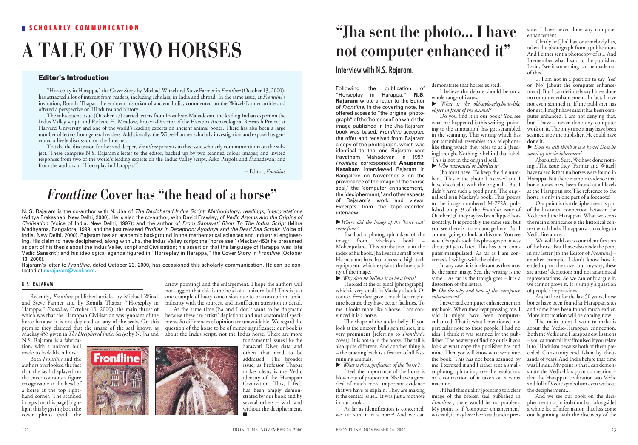### **SCHOLARLY COMMUNICATION**

# **A TALE OF TWO HORSES**

"Horseplay in Harappa," the Cover Story by Michael Witzel and Steve Farmer in *Frontline* (October 13, 2000), has attracted a lot of interest from readers, including scholars, in India and abroad. In the same issue, at *Frontline*'s invitation, Romila Thapar, the eminent historian of ancient India, commented on the Witzel-Farmer article and offered a perspective on Hindutva and history.

The subsequent issue (October 27) carried letters from Iravatham Mahadevan, the leading Indian expert on the Indus Valley script, and Richard H. Meadow, Project-Director of the Harappa Archaeological Research Project at Harvard University and one of the world's leading experts on ancient animal bones. There has also been a large number of letters from general readers. Additionally, the Witzel-Farmer scholarly investigation and exposé has generated a lively discussion on the Internet.

To take the discussion further and deeper, *Frontline* presents in this issue scholarly communications on the subject. These comprise N.S. Rajaram's letter to the editor, backed up by two scanned colour images; and invited responses from two of the world's leading experts on the Indus Valley script, Asko Parpola and Mahadevan, and from the authors of "Horseplay in Harappa."

– Editor, *Frontline*

### *Frontline* **Cover has "the head of a horse"**

N. S. Rajaram is the co-author with N. Jha of *The Deciphered Indus Script: Methodology, readings, interpretations* (Aditya Prakashan, New Delhi, 2000). He is also the co-author, with David Frawley, of *Vedic Aryans and the Origins of Civilisation* (Voice of India, New Delhi, 1997); and the author of *From Sarasvati River To The Indus Script* (Mitra Madhyama, Bangalore, 1999) and the just released *Profiles in Deception: Ayodhya and the Dead Sea Scrolls* (Voice of India, New Delhi, 2000). Rajaram has an academic background in the mathematical sciences and industrial engineering. His claim to have deciphered, along with Jha, the Indus Valley script; the 'horse seal' (Mackay 453) he presented as part of his thesis about the Indus Valley script and Civilisation; his assertion that the language of Harappa was 'late Vedic Sanskrit'; and his ideological agenda figured in "Horseplay in Harappa," the Cover Story in *Frontline* (October 13, 2000).

Rajaram's letter to *Frontline*, dated October 23, 2000, has occasioned this scholarly communication. He can be contacted at nsrajaram@vsnl.com.

#### N.S. RAJARAM

Recently, *Frontline* published articles by Michael Witzel and Steve Farmer and by Romila Thapar ("Horseplay in Harappa," *Frontline*, October 13, 2000), the main thrust of which was that the Harappan Civilisation was ignorant of the horse because it is not depicted on any of the seals. On this premise they claimed that the image of the seal known as Mackay 453 given in *The Deciphered Indus Script* by N. Jha and

N.S. Rajaram is a fabrication, with a unicorn bull made to look like a horse.

Both *Frontline* and the authors overlooked the fact that the seal displayed on the cover contains a figure recognisable as the head of a horse at the top righthand corner. The scanned images [on this page] highlight this by giving both the cover photo (with the

arrow pointing) and the enlargement. I hope the authors will not suggest that this is the head of a unicorn bull! This is just one example of hasty conclusion due to preconception, unfamiliarity with the sources, and insufficient attention to detail. At the same time Jha and I don't want to be dogmatic

because these are artists' depictions and not anatomical specimens. So differences of opinion are unavoidable. We regard the question of the horse to be of minor significance: our book is about the Indus script, not the Indus horse. There are more



fundamental issues like the Sarasvati River data and others that need to be addressed. The broader issue, as Professor Thapar makes clear, is the Vedic identity of the Harappan Civilisation. This, I feel, has been amply demonstrated by our book and by several others – with and without the decipherment. ■

### **"Jha sent the photo... I have not computer enhanced it"**

### **Editor's Introduction**

Following the publication of "Horseplay in Harappa," **N.S. Rajaram** wrote a letter to the Editor of *Frontline*. In the covering note, he offered access to "the original photograph" of the 'horse seal' on which the image published in the Jha-Rajaram book was based. *Frontline* accepted the offer and received from Rajaram a copy of the photograph, which was identical to the one Rajaram sent Iravatham Mahadevan in 1997. *Frontline* correspondent **Anupama Katakam** interviewed Rajaram in Bangalore on November 2 on the provenance of the image of the 'horse seal,' the 'computer enhancement,' the 'decipherment,' and other aspects of Rajaram's work and views. Excerpts from the tape-recorded interview:

-*Where did the image of the 'horse seal' come from?*

Jha had a photograph taken of the image from Mackay's book – Mohenjodaro. This attribution is in the index of his book. Jha lives in a small town. He may not have had access to high-tech equipment, which explains the low quality of the image.

- *Why does he believe it to be a horse?* 

I looked at the original [photograph], which is very small. In Mackay's book. Of course, *Frontline* gave a much better picture because they have better facilities. To me it looks more like a horse. I am convinced it is a horse.

The shape of the under-belly. If you look at the unicorn bull's genital area, it is very prominent [referring to *Frontline*'s cover]. It is not so in the horse. The tail is also quite different. And another thing is – the tapering back is a feature of all fastrunning animals.

- *What is the significance of the 'horse'?*

I feel the importance of the horse is blown out of proportion. We have a great deal of much more important evidence that we have to explain. They are making it the central issue... It was just a footnote in our book...

As far as identification is concerned, we are sure it is a horse! And we can demonstrate that horses existed. I believe the debate should be on a whole range of issues.

- *What is the old-style-telephone-like object in front of the animal?*

Do you find it in our book? You see what has happened is this writing [pointing to the annotation] has got scrambled in the scanning. This writing which has got scrambled resembles this telephonelike thing which they refer to as a [feeding] trough. Nothing is behind that label. This is not in the original seal.

- *Who annotated or labelled it?* Jha must have. To keep the file number... This is the photo  $I$  received and  $I$ have checked it with the original... But I didn't have such a good print. The original seal is in Mackay's book. This [points to the image numbered M-772A, published on p. 9 of the *Frontline* issue of October  $13$ ] they say has been flipped horizontally. It is probably the same seal, but you see there is more damage here. But I am not going to look at this one. You see when Parpola took this photograph, it was about 30 years later. This has been computer-manipulated. As far as I am concerned, I will go with the oldest.

In any case, it is irrelevant as they may be the same image. See, the writing is the same... As far as the trough goes  $-\text{it}$  it is a distortion of the letters.

- *On the why and how of the 'computer enhancement'*

I never said computer enhancement in my book. When they kept pressing me, I said it might have been computerenhanced. That is what I mentioned in a particular note to these people. I had no idea. I think it was scanned by the publisher. The best way of finding out is if you look at what copy the publisher has and mine. Then you will know what went into the book. This has not been scanned by me. I xeroxed it and I either sent a smaller photograph to improve the resolution, or a contraction of it taken on a xerox machine.

If I had this quality [pointing to a clear image of the broken seal published in *Frontline*], there would be no problem. My point is if 'computer enhancement' was said, it may have been said under pres-

sure. I have never done any computer enhancement.

Clearly he [Jha] has, or somebody has, taken the photograph from a publication. And I either sent a photocopy of it... And I remember what I said to the publisher. I said, "see if something can be made out of this."

... I am not in a position to say 'Yes' or 'No' [about the computer enhancement]. But I can definitely say I have done no computer enhancement. In fact, I have not even scanned it. If the publisher has done it, I might have said it has been computer enhanced. I am not denying that, but I have... never done any computer work on it. The only time it may have been scanned is by the publisher. He could have done it.

- *Does he still think it is a horse? Does he stand by his decipherment?* 

Absolutely. Sure. We have done nothing...The issue they [Farmer and Witzel] have raised is that no horses were found in Harappa. But there is ample evidence that horse bones have been found at all levels at the Harappan site.The reference to the horse is only in one part of a footnote!

Our point is that decipherment is part of the historical connection between the Vedic and the Harappan. What we see as the main significance is the historical context which links Harappan archaeology to Vedic literature...

We will hold on to our identification of the horse. But I have also made the point in my letter [to the Editor of *Frontline*] – another example. I don't know how it ended up on the cover but anyway, these are artists' depictions and not anatomical representations. So we can only argue it, we cannot prove it. It is simply a question of people's impressions.

And at least for the last 50 years, horse bones have been found at Harappan sites and some have been found much earlier. More information will be coming now.

The main point I want to make is about the Vedic-Harappan connection. Both the Vedic and Harappan civilisations – you cannot call it saffronised if you relate it to Hinduism because both of them preceded Christianity and Islam by thousands of years! And India before that time was Hindu. My point is that I can demonstrate the Vedic-Harappan connection – that the Harappan civilisation was Vedic and full of Vedic symbolism even without the decipherment...

And we see our book on the decipherment not in isolation but [alongside] a whole lot of information that has come out beginning with the discovery of the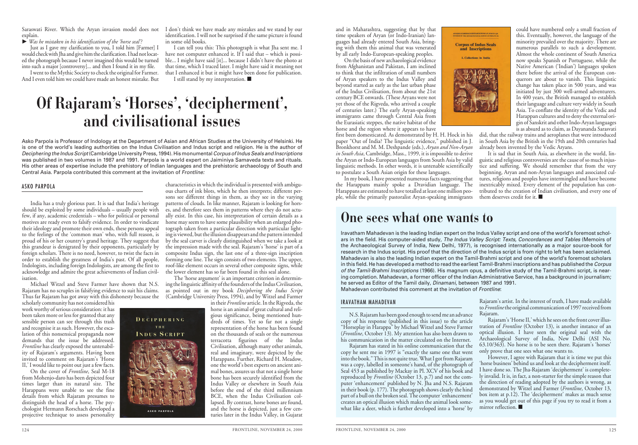explain.

- *Was he mistaken in his identification of the 'horse seal'?*

Just as I gave my clarification to you, I told him [Farmer] I would check with Jha and give him the clarification. I had not located the photograph because I never imagined this would be turned into such a major [controversy]... and then I found it in my file.

I went to the Mythic Society to check the original for Farmer. And I even told him we could have made an honest mistake. But

Saraswati River. Which the Aryan invasion model does not I don't think we have made any mistakes and we stand by our identification. I will not be surprised if the same picture is found in some old books.

I can tell you this: This photograph is what Jha sent me. I have not computer enhanced it. If I said that – which is possible... I might have said [it]... because I didn't have the photo at that time, which I traced later. I might have said it meaning not that I enhanced it but it might have been done for publication. I still stand by my interpretation. ■

## **Of Rajaram's 'Horses', 'decipherment', and civilisational issues**

Asko Parpola is Professor of Indology at the Department of Asian and African Studies at the University of Helsinki. He is one of the world's leading authorities on the Indus Civilisation and Indus script and religion. He is the author of *Deciphering the Indus Script*(Cambridge University Press, 1994). His monumental *Corpus of Indus Seals and Inscriptions* was published in two volumes in 1987 and 1991. Parpola is a world expert on Jaiminiya Samaveda texts and rituals. His other areas of expertise include the prehistory of Indian languages and the prehistoric archaeology of South and Central Asia. Parpola contributed this comment at the invitation of *Frontline:*

#### ASKO PARPOLA

India has a truly glorious past. It is sad that India's heritage should be exploited by some individuals – usually people with few, if any, academic credentials – who for political or personal motives are ready even to falsify evidence. In order to vindicate their ideology and promote their own ends, these persons appeal to the feelings of the 'common man' who, with full reason, is proud of his or her country's grand heritage. They suggest that this grandeur is denigrated by their opponents, particularly by foreign scholars. There is no need, however, to twist the facts in order to establish the greatness of India's past. Of all people, Indologists, including foreign Indologists, are among the first to acknowledge and admire the great achievements of Indian civilisation.

Michael Witzel and Steve Farmer have shown that N.S. Rajaram has no scruples in falsifying evidence to suit his claims. Thus far Rajaram has got away with this dishonesty because the

scholarly community has not considered his work worthy of serious consideration: it has been taken more or less for granted that any sensible person can see through this trash and recognise it as such. However, the escalation of this nonsensical propaganda now demands that the issue be addressed. *Frontline* has clearly exposed the untenability of Rajaram's arguments. Having been invited to comment on Rajaram's 'Horse II,' I would like to point out just a few facts.

On the cover of *Frontline*, Seal M-18 from Mohenjo-daro has been depicted four times larger than its natural size. The Harappans were unable to see the fine details from which Rajaram presumes to distinguish the head of a horse. The psychologist Hermann Rorschach developed a projective technique to assess personality



ASKO PARPOLA

characteristics in which the individual is presented with ambiguous charts of ink blots, which he then interprets; different persons see different things in them, as they see in the varying patterns of clouds. In like manner, Rajaram is looking for horses, and therefore sees them in patterns where they do not actually exist. In this case, his interpretation of certain details as a horse may seem to have some plausibility when an enlarged photograph taken from a particular direction with particular lighting is viewed, but the illusion disappears and the pattern intended by the seal carver is clearly distinguished when we take a look at the impression made with the seal. Rajaram's 'horse' is part of a composite Indus sign, the last one of a three-sign inscription forming one line. The sign consists of two elements. The upper, roof-like element occurs in several other composite signs, while the lower element has so far been found in this seal alone.

The 'horse argument' is an important criterion in determining the linguistic affinity of the founders of the Indus Civilisation, as pointed out in my book *Deciphering the Indus Script* (Cambridge University Press, 1994), and by Witzel and Farmer in their *Frontline* article. In the Rigveda, the

horse is an animal of great cultural and religious significance, being mentioned hundreds of times. Yet so far not a single representation of the horse has been found on the thousands of seals or the numerous terracotta figurines of the Indus Civilisation, although many other animals, real and imaginary, were depicted by the Harappans. Further, Richard H. Meadow, one the world's best experts on ancient animal bones, assures us that not a single horse bone has been securely identified from the Indus Valley or elsewhere in South Asia before the end of the third millennium BCE, when the Indus Civilisation collapsed. By contrast, horse bones are found, and the horse is depicted, just a few centuries later in the Indus Valley, in Gujarat

and in Maharashtra, suggesting that by that time speakers of Aryan (or Indo-Iranian) languages had already entered South Asia, bringing with them this animal that was venerated by all early Indo-European-speaking peoples.

On the basis of new archaeological evidence from Afghanistan and Pakistan,  $\tilde{I}$  am inclined to think that the infiltration of small numbers of Aryan speakers to the Indus Valley and beyond started as early as the last urban phase of the Indus Civilisation, from about the 21st century BCE onwards. (These Aryans were not yet those of the Rigveda, who arrived a couple of centuries later.) The early Aryan-speaking immigrants came through Central Asia from the Eurasiatic steppes, the native habitat of the horse and the region where it appears to have

first been domesticated. As demonstrated by H. H. Hock in his paper "Out of India? The linguistic evidence," published in J. Bronkhorst and M. M. Deshpande (eds.), *Aryan and Non-Aryan in South Asia*, Cambridge, Mass., 1999, it is impossible to derive the Aryan or Indo-European languages from South Asia by valid linguistic methods. In other words, it is untenable scientifically to postulate a South Asian origin for these languages.

In my book, I have presented numerous facts suggesting that the Harappans mainly spoke a Dravidian language. The Harappans are estimated to have totalled at least one million people, while the primarily pastoralist Aryan-speaking immigrants

### **One sees what one wants to**

Iravatham Mahadevan is the leading Indian expert on the Indus Valley script and one of the world's foremost scholars in the field. His computer-aided study, *The Indus Valley Script: Texts, Concordances and Tables* (Memoirs of the Archaeological Survey of India, New Delhi, 1977), is recognised internationally as a major source-book for research in the Indus script. His proof that the direction of the Indus script is from right to left has been acclaimed. Mahadevan is also the leading Indian expert on the Tamil-Brahmi script and one of the world's foremost scholars in this field. He has developed a method to read the earliest Tamil-Brahmi inscriptions and has published the *Corpus of the Tamil-Brahmi Inscriptions* (1966). His magnum opus, a definitive study of the Tamil-Brahmi script, is nearing completion. Mahadevan, a former officer of the Indian Administrative Service, has a background in journalism; he served as Editor of the Tamil daily, *Dinamani*, between 1987 and 1991. Mahadevan contributed this comment at the invitation of *Frontline*:

**Corpus of Indus Seals** and Inscriptions 1. Collections in India

#### IRAVATHAM MAHADEVAN

N.S. Rajaram has been good enough to send me an advance copy of his response (published in this issue) to the article "Horseplay in Harappa" by Michael Witzel and Steve Farmer (*Frontline*, October 13). My attention has also been drawn to his communication in the matter circulated on the Internet.

Rajaram has stated in his online communication that the copy he sent me in 1997 is "exactly the same one that went into the book." This is not quite true. What I got from Rajaram was a copy, labelled in someone's hand, of the photograph of Seal 453 as published by Mackay in Pl. XCV of his book and reproduced by *Frontline* (October 13, p.7) and not the computer 'enhancement' published by N. Jha and N.S. Rajaram in their book (p. 177). The photograph shows clearly the hind part of a bull on the broken seal. The computer 'enhancement' creates an optical illusion which makes the animal look somewhat like a deer, which is further developed into a 'horse' by Rajaram's artist. In the interest of truth, I have made available to *Frontline*the original communication of 1997 received from Rajaram.

Rajaram's 'Horse II,' which he sees on the front cover illustration of *Frontline* (October 13), is another instance of an optical illusion. I have seen the original seal with the Archaeological Survey of India, New Delhi (ASI No. 63.10/363). No horse is to be seen there. Rajaram's 'horses' only prove that one sees what one wants to.

However, I agree with Rajaram that it is time we put this 'horse business' behind us and look at the decipherment itself. I have done so. The Jha-Rajaram 'decipherment' is completely invalid. It is, in fact, a non-starter for the simple reason that the direction of reading adopted by the authors is wrong, as demonstrated by Witzel and Farmer (*Frontline*, October 13, box item at p.12). The 'decipherment' makes as much sense as you would get out of this page if you try to read it from a mirror reflection. ■

could have numbered only a small fraction of this. Eventually, however, the language of the minority prevailed over the majority. There are numerous parallels to such a development. Almost the whole continent of South America now speaks Spanish or Portuguese, while the Native American ('Indian') languages spoken there before the arrival of the European conquerors are about to vanish. This linguistic change has taken place in 500 years, and was initiated by just 300 well-armed adventurers. In 400 years, the British managed to establish their language and culture very widely in South Asia. To conflate the identity of the Vedic and Harappan cultures and to deny the external origin of Sanskrit and other Indo-Aryan languages is as absurd as to claim, as Dayananda Sarasvati

did, that the railway trains and aeroplanes that were introduced in South Asia by the British in the 19th and 20th centuries had already been invented by the Vedic Aryans.

It is sad that in South Asia, as elsewhere in the world, linguistic and religious controversies are the cause of so much injustice and suffering. We should remember that from the very beginning, Aryan and non-Aryan languages and associated cultures, religions and peoples have intermingled and have become inextricably mixed. Every element of the population has contributed to the creation of Indian civilisation, and every one of them deserves credit for it. ■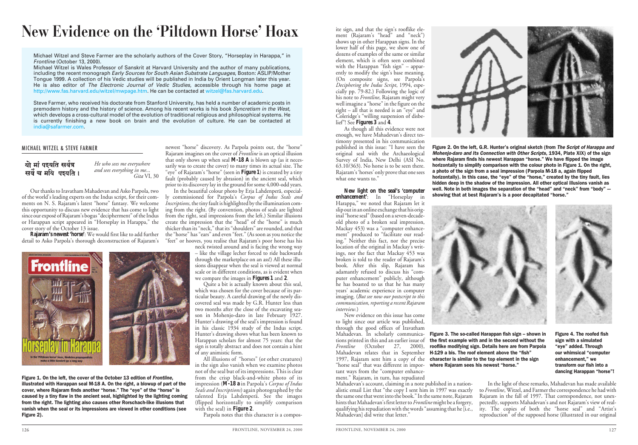### **New Evidence on the 'Piltdown Horse' Hoax**

Michael Witzel and Steve Farmer are the scholarly authors of the Cover Story, "Horseplay in Harappa," in *Frontline* (October 13, 2000).

Michael Witzel is Wales Professor of Sanskrit at Harvard University and the author of many publications, including the recent monograph *Early Sources for South Asian Substrate Languages*, Boston: ASLIP/Mother Tongue 1999. A collection of his Vedic studies will be published in India by Orient Longman later this year. He is also editor of *The Electronic Journal of Vedic Studies*, accessible through his home page at http://www.fas.harvard.edu/witzel/mwpage.htm. He can be contacted at witzel@fas.harvard.edu.

Steve Farmer, who received his doctorate from Stanford University, has held a number of academic posts in premodern history and the history of science. Among his recent works is his book *Syncretism in the West*, which develops a cross-cultural model of the evolution of traditional religious and philosophical systems. He is currently finishing a new book on brain and the evolution of culture. He can be contacted at india@safarmer.com.

#### MICHAEL WITZEL & STEVE FARMER

यो मां पइयति सर्वत्र सर्वे च मयि पद्यति । *He who sees me everywhere and sees everything in me... Gita* VI, 30

Our thanks to Iravatham Mahadevan and Asko Parpola, two of the world's leading experts on the Indus script, for their comments on N. S. Rajaram's latest "horse" fantasy. We welcome this opportunity to discuss new evidence that has come to light since our exposé of Rajaram's bogus "decipherment" of the Indus or Harappan script appeared in "Horseplay in Harappa," the cover story of the October 13 issue.

**Rajaram's newest 'horse'**: We would first like to add further detail to Asko Parpola's thorough deconstruction of Rajaram's



Figure 1. On the left, the cover of the October 13 edition of *Frontline*, illustrated with Harappan seal M-18 A. On the right, a blowup of part of the cover, where Rajaram finds another "horse." The "eye" of the "horse" is caused by a tiny flaw in the ancient seal, highlighted by the lighting coming from the right. The lighting also causes other Rorschach-like illusions that vanish when the seal or its impressions are viewed in other conditions (see Figure 2).

newest "horse" discovery. As Parpola points out, the "horse" Rajaram imagines on the cover of *Frontline* is an optical illusion that only shows up when seal **M-18 A** is blown up (as it necessarily was to create the cover) to many times its actual size. The "eye" of Rajaram's "horse" (seen in **Figure 1**) is created by a tiny fault (probably caused by abrasion) in the ancient seal, which prior to its discovery lay in the ground for some 4,000-odd years.

In the beautiful colour photo by Erja Lahdenperä, especially commissioned for Parpola's *Corpus of Indus Seals and Inscriptions*, the tiny fault is highlighted by the illumination coming from the right. (By convention, photos of seals are lighted from the right, seal impressions from the left.) Similar illusions create the impression that the "head" of the "horse" is much thicker than its "neck," that its "shoulders" are rounded, and that the "horse" has "ears" and even "feet." (As soon as you notice the "feet" or hooves, you realise that Rajaram's poor horse has his

neck twisted around and is facing the wrong way – like the village lecher forced to ride backwards through the marketplace on an ass!) All these illusions disappear when the seal is viewed at normal scale or in different conditions, as is evident when we compare the images in **Figures 1** and **2**.

Quite a bit is actually known about this seal, which was chosen for the cover because of its particular beauty. A careful drawing of the newly discovered seal was made by G.R. Hunter less than two months after the close of the excavating season in Mohenjo-daro in late February 1927. Hunter's drawing of the seal's impression is found in his classic 1934 study of the Indus script. Hunter's drawing shows what has been known to Harappan scholars for almost 75 years: that the sign is totally abstract and does not contain a hint of any animistic form.

All illusions of "horses" (or other creatures) in the sign also vanish when we examine photos not of the seal but of its impressions. This is clear from the crisp black-and-white photo of its impression (**M-18 a** in Parpola's *Corpus of Indus Seals and Inscriptions*) again photographed by the talented Erja Lahdenperä. See the images (flipped horizontally to simplify comparison with the seal) in **Figure 2**.

Parpola notes that this character is a compos-

ite sign, and that the sign's rooflike element (Rajaram's "head" and "neck") shows up in other Harappan signs. In the lower half of this page, we show one of dozens of examples of the same or similar element, which is often seen combined with the Harappan "fish sign" – apparently to modify the sign's base meaning. (On composite signs, see Parpola's *Deciphering the Indus Script*, 1994, especially pp. 79-82.) Following the logic of his note to *Frontline*, Rajaram might very well imagine a "horse" in the figure on the right – all that is needed is an "eye" and Coleridge's "willing suspension of disbelief"! See **Figures 3** and **4**.

As though all this evidence were not enough, we have Mahadevan's direct testimony presented in his communication published in this issue: "I have seen the original seal with the Archaeological Survey of India, New Delhi (ASI No. 63.10/363). No horse is to be seen there. Rajaram's 'horses' only prove that one sees what one wants to."

**New light on the seal's 'computer enhancement'**: In "Horseplay in Harappa," we noted that Rajaram let it slip out in an online exchange that his original "horse seal" (based on a seven-decadeold photo of a broken seal impression, Mackay 453) was a "computer enhancement" produced to "facilitate our reading." Neither this fact, nor the precise location of the original in Mackay's writings, nor the fact that Mackay 453 was broken is told to the reader of Rajaram's book. After this slip, Rajaram has adamantly refused to discuss his "computer enhancement" publicly, although he has boasted to us that he has many years' academic experience in computer imaging. (*But see now our postscript to this communication, reporting a recent Rajaram interview.*)

New evidence on this issue has come to light since our article was published, through the good offices of Iravatham Mahadevan. In scholarly communications printed in this and an earlier issue of *Frontline* (October 27, 2000), 1997, Rajaram sent him a copy of the "horse seal" that was different in impor- **where Rajaram sees his newest "horse."** tant ways from the "computer enhancement." Rajaram, in turn, has repudiated

Mahadevan's account, claiming in a note published in a nationalistic email List that "the copy I sent him in 1997 was exactly the same one that went into the book." In the same note, Rajaram hints that Mahadevan's first letter to *Frontline* might be a forgery, qualifying his repudiation with the words "assuming that he [i.e., Mahadevan] did write that letter."



Figure 2. On the left, G.R. Hunter's original sketch (from *The Script of Harappa and Mohenjo-daro and Its Connection with Other Scripts*, 1934, Plate XIX) of the sign where Rajaram finds his newest Harappan "horse." We have flipped the image horizontally to simplify comparison with the colour photo in Figure 1. On the right, a photo of the sign from a seal impression (Parpola M-18 a, again flipped horizontally). In this case, the "eye" of the "horse," created by the tiny fault, lies hidden deep in the shadow of the impression. All other optical illusions vanish as well. Note in both images the separation of the "head" and "neck" from "body" – showing that at best Rajaram's is a poor decapitated "horse."



Mahadevan relates that in September **H-129 a bis. The roof element above the "fish"** Figure 3. The so-called Harappan fish sign – shown in the first example with and in the second without the rooflike modifying sign. Details here are from Parpola character is similar to the top element in the sign

Figure 4. The roofed fish sign with a simulated "eye" added. Through our whimsical "computer enhancement," we transform our fish into a dancing Harappan "horse"!

In the light of these remarks, Mahadevan has made available to *Frontline*, Witzel, and Farmer the correspondence he had with Rajaram in the fall of 1997. That correspondence, not unexpectedly, supports Mahadevan's and not Rajaram's view of reality. The copies of both the "horse seal" and "Artist's reproduction" of the supposed horse (illustrated in our original